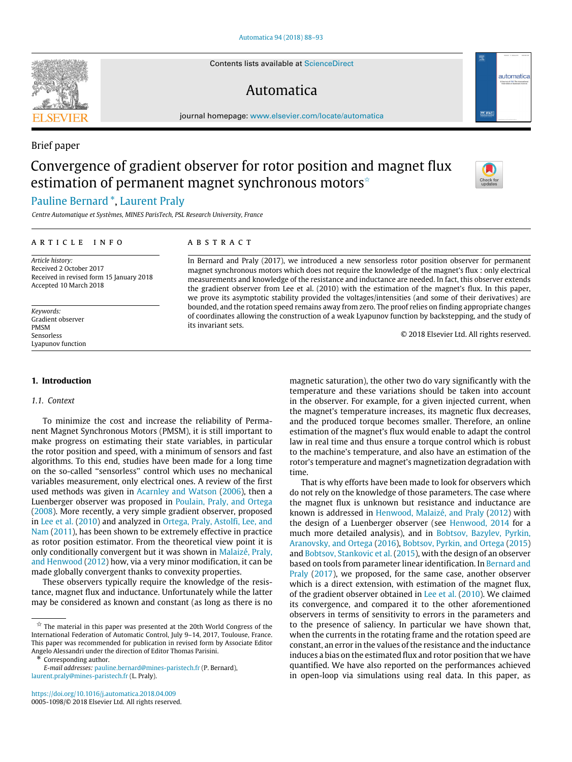Contents lists available at [ScienceDirect](http://www.elsevier.com/locate/automatica)

## Automatica



# automatica

### Brief paper

# Convergence of gradient observer for rotor position and magnet flux estimation of permanent magnet synchronous motors<sup>\*</sup>



## [Pauline](#page-5-0) [Bernard](#page-5-0) [\\*](#page-0-1), [Laurent](#page-5-1) [Praly](#page-5-1)

*Centre Automatique et Systèmes, MINES ParisTech, PSL Research University, France*

#### a r t i c l e i n f o

#### *Article history:* Received 2 October 2017 Received in revised form 15 January 2018 Accepted 10 March 2018

*Keywords:* Gradient observer PMSM Sensorless Lyapunov function

#### **1. Introduction**

#### *1.1. Context*

To minimize the cost and increase the reliability of Permanent Magnet Synchronous Motors (PMSM), it is still important to make progress on estimating their state variables, in particular the rotor position and speed, with a minimum of sensors and fast algorithms. To this end, studies have been made for a long time on the so-called ''sensorless'' control which uses no mechanical variables measurement, only electrical ones. A review of the first used methods was given in [Acarnley](#page-4-0) [and](#page-4-0) [Watson](#page-4-0) [\(2006\)](#page-4-0), then a Luenberger observer was proposed in [Poulain,](#page-5-2) [Praly,](#page-5-2) [and](#page-5-2) [Ortega](#page-5-2) [\(2008\)](#page-5-2). More recently, a very simple gradient observer, proposed in [Lee](#page-5-3) [et](#page-5-3) [al.](#page-5-3) [\(2010\)](#page-5-3) and analyzed in [Ortega,](#page-5-4) [Praly,](#page-5-4) [Astolfi,](#page-5-4) [Lee,](#page-5-4) [and](#page-5-4) [Nam](#page-5-4) [\(2011\)](#page-5-4), has been shown to be extremely effective in practice as rotor position estimator. From the theoretical view point it is only conditionally convergent but it was shown in [Malaizé,](#page-5-5) [Praly,](#page-5-5) [and](#page-5-5) [Henwood](#page-5-5) [\(2012\)](#page-5-5) how, via a very minor modification, it can be made globally convergent thanks to convexity properties.

These observers typically require the knowledge of the resistance, magnet flux and inductance. Unfortunately while the latter may be considered as known and constant (as long as there is no

#### a b s t r a c t

In Bernard and Praly (2017), we introduced a new sensorless rotor position observer for permanent magnet synchronous motors which does not require the knowledge of the magnet's flux : only electrical measurements and knowledge of the resistance and inductance are needed. In fact, this observer extends the gradient observer from Lee et al. (2010) with the estimation of the magnet's flux. In this paper, we prove its asymptotic stability provided the voltages/intensities (and some of their derivatives) are bounded, and the rotation speed remains away from zero. The proof relies on finding appropriate changes of coordinates allowing the construction of a weak Lyapunov function by backstepping, and the study of its invariant sets.

© 2018 Elsevier Ltd. All rights reserved.

magnetic saturation), the other two do vary significantly with the temperature and these variations should be taken into account in the observer. For example, for a given injected current, when the magnet's temperature increases, its magnetic flux decreases, and the produced torque becomes smaller. Therefore, an online estimation of the magnet's flux would enable to adapt the control law in real time and thus ensure a torque control which is robust to the machine's temperature, and also have an estimation of the rotor's temperature and magnet's magnetization degradation with time.

That is why efforts have been made to look for observers which do not rely on the knowledge of those parameters. The case where the magnet flux is unknown but resistance and inductance are known is addressed in [Henwood,](#page-5-6) [Malaizé,](#page-5-6) [and](#page-5-6) [Praly](#page-5-6) [\(2012\)](#page-5-6) with the design of a Luenberger observer (see [Henwood,](#page-5-7) [2014](#page-5-7) for a much more detailed analysis), and in [Bobtsov,](#page-5-8) [Bazylev,](#page-5-8) [Pyrkin,](#page-5-8) [Aranovsky,](#page-5-8) [and](#page-5-8) [Ortega](#page-5-8) [\(2016\)](#page-5-8), [Bobtsov,](#page-5-9) [Pyrkin,](#page-5-9) [and](#page-5-9) [Ortega](#page-5-9) [\(2015\)](#page-5-9) and [Bobtsov,](#page-5-10) [Stankovic](#page-5-10) [et](#page-5-10) [al.](#page-5-10) [\(2015\)](#page-5-10), with the design of an observer based on tools from parameter linear identification. In [Bernard](#page-4-1) [and](#page-4-1) [Praly](#page-4-1) [\(2017\)](#page-4-1), we proposed, for the same case, another observer which is a direct extension, with estimation of the magnet flux, of the gradient observer obtained in [Lee](#page-5-3) [et](#page-5-3) [al.](#page-5-3) [\(2010\)](#page-5-3). We claimed its convergence, and compared it to the other aforementioned observers in terms of sensitivity to errors in the parameters and to the presence of saliency. In particular we have shown that, when the currents in the rotating frame and the rotation speed are constant, an error in the values of the resistance and the inductance induces a bias on the estimated flux and rotor position that we have quantified. We have also reported on the performances achieved in open-loop via simulations using real data. In this paper, as



<span id="page-0-0"></span> $\overrightarrow{x}$  The material in this paper was presented at the 20th World Congress of the International Federation of Automatic Control, July 9–14, 2017, Toulouse, France. This paper was recommended for publication in revised form by Associate Editor Angelo Alessandri under the direction of Editor Thomas Parisini.

<span id="page-0-1"></span><sup>\*</sup> Corresponding author.

*E-mail addresses:* [pauline.bernard@mines-paristech.fr](mailto:pauline.bernard@mines-paristech.fr) (P. Bernard), [laurent.praly@mines-paristech.fr](mailto:laurent.praly@mines-paristech.fr) (L. Praly).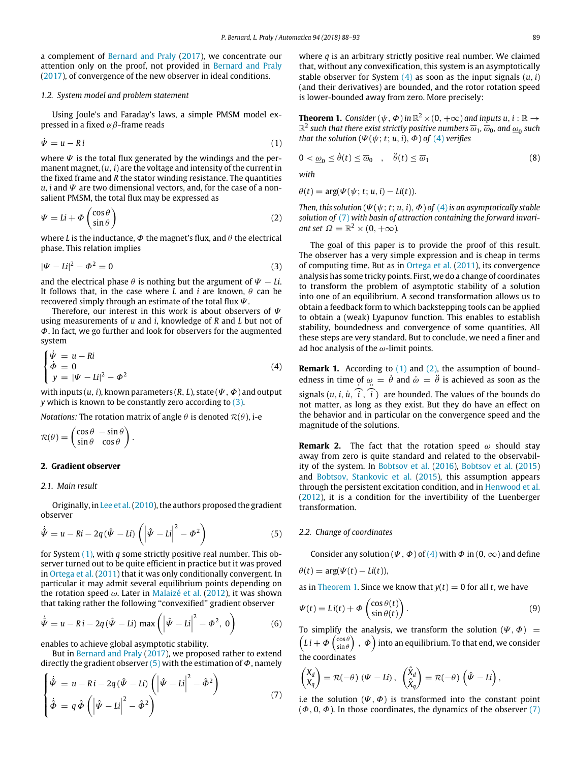a complement of [Bernard](#page-4-1) [and](#page-4-1) [Praly](#page-4-1) [\(2017\)](#page-4-1), we concentrate our attention only on the proof, not provided in [Bernard](#page-4-1) [and](#page-4-1) [Praly](#page-4-1) [\(2017\)](#page-4-1), of convergence of the new observer in ideal conditions.

#### *1.2. System model and problem statement*

Using Joule's and Faraday's laws, a simple PMSM model expressed in a fixed  $\alpha\beta$ -frame reads

<span id="page-1-1"></span>
$$
\dot{\Psi} = u - Ri \tag{1}
$$

where  $\Psi$  is the total flux generated by the windings and the permanent magnet, (*u*, *i*) are the voltage and intensity of the current in the fixed frame and *R* the stator winding resistance. The quantities  $u$ , *i* and  $\Psi$  are two dimensional vectors, and, for the case of a nonsalient PMSM, the total flux may be expressed as

<span id="page-1-5"></span>
$$
\Psi = Li + \Phi \begin{pmatrix} \cos \theta \\ \sin \theta \end{pmatrix} \tag{2}
$$

where *L* is the inductance,  $\Phi$  the magnet's flux, and  $\theta$  the electrical phase. This relation implies

<span id="page-1-0"></span>
$$
|\Psi - Li|^2 - \Phi^2 = 0 \tag{3}
$$

and the electrical phase  $\theta$  is nothing but the argument of  $\Psi - Li$ . It follows that, in the case where *L* and *i* are known,  $\theta$  can be recovered simply through an estimate of the total flux  $\Psi$ .

Therefore, our interest in this work is about observers of  $\Psi$ using measurements of *u* and *i*, knowledge of *R* and *L* but not of  $\Phi$ . In fact, we go further and look for observers for the augmented system

<span id="page-1-3"></span>
$$
\begin{cases}\n\dot{\Psi} = u - Ri \\
\dot{\Phi} = 0 \\
y = |\Psi - Li|^2 - \Phi^2\n\end{cases}
$$
\n(4)

with inputs  $(u, i)$ , known parameters  $(R, L)$ , state  $(\Psi, \Phi)$  and output *y* which is known to be constantly zero according to [\(3\).](#page-1-0)

*Notations:* The rotation matrix of angle  $\theta$  is denoted  $\mathcal{R}(\theta)$ , i-e

$$
\mathcal{R}(\theta) = \begin{pmatrix} \cos \theta & -\sin \theta \\ \sin \theta & \cos \theta \end{pmatrix}.
$$

#### **2. Gradient observer**

#### *2.1. Main result*

Originally, in [Lee](#page-5-3) [et](#page-5-3) [al.\(2010\)](#page-5-3), the authors proposed the gradient observer

<span id="page-1-2"></span>
$$
\dot{\hat{\Psi}} = u - Ri - 2q(\hat{\Psi} - Li) \left( \left| \hat{\Psi} - Li \right|^2 - \Phi^2 \right)
$$
\n(5)

for System [\(1\),](#page-1-1) with *q* some strictly positive real number. This observer turned out to be quite efficient in practice but it was proved in [Ortega](#page-5-4) [et](#page-5-4) [al.](#page-5-4) [\(2011\)](#page-5-4) that it was only conditionally convergent. In particular it may admit several equilibrium points depending on the rotation speed  $\omega$ . Later in [Malaizé](#page-5-5) [et](#page-5-5) [al.](#page-5-5) [\(2012\)](#page-5-5), it was shown that taking rather the following ''convexified'' gradient observer

$$
\dot{\hat{\Psi}} = u - Ri - 2q(\hat{\Psi} - Li) \max \left( \left| \hat{\Psi} - Li \right|^2 - \Phi^2, 0 \right) \tag{6}
$$

enables to achieve global asymptotic stability.

But in [Bernard](#page-4-1) [and](#page-4-1) [Praly](#page-4-1) [\(2017\)](#page-4-1), we proposed rather to extend directly the gradient observer  $(5)$  with the estimation of  $\Phi$ , namely

<span id="page-1-4"></span>
$$
\begin{cases}\n\dot{\hat{\Psi}} = u - Ri - 2q(\hat{\Psi} - Li) \left( \left| \hat{\Psi} - Li \right|^2 - \hat{\Phi}^2 \right) \\
\dot{\hat{\Phi}} = q \hat{\Phi} \left( \left| \hat{\Psi} - Li \right|^2 - \hat{\Phi}^2 \right)\n\end{cases}
$$
\n(7)

where *q* is an arbitrary strictly positive real number. We claimed that, without any convexification, this system is an asymptotically stable observer for System  $(4)$  as soon as the input signals  $(u, i)$ (and their derivatives) are bounded, and the rotor rotation speed is lower-bounded away from zero. More precisely:

<span id="page-1-6"></span>**Theorem 1.** *Consider* ( $\psi$ ,  $\Phi$ ) *in*  $\mathbb{R}^2 \times (0, +\infty)$  *and inputs*  $u, i : \mathbb{R} \to$  $\mathbb{R}^2$  such that there exist strictly positive numbers  $\overline{\omega}_1$ ,  $\overline{\omega}_0$ , and  $\underline{\omega}_0$  such *that the solution*  $(\Psi(\psi; t; u, i), \Phi)$  *of*  $(4)$  *verifies* 

<span id="page-1-7"></span>
$$
0 < \underline{\omega}_0 \le \dot{\theta}(t) \le \overline{\omega}_0 \quad , \quad \ddot{\theta}(t) \le \overline{\omega}_1 \tag{8}
$$

*with*

$$
\theta(t) = \arg(\Psi(\psi; t; u, i) - Li(t)).
$$

*Then, this solution* ( $\Psi(\psi; t; u, i)$ ,  $\Phi$ ) *of* [\(4\)](#page-1-3) *is an asymptotically stable solution of* [\(7\)](#page-1-4) *with basin of attraction containing the forward invariant set*  $\Omega = \mathbb{R}^2 \times (0, +\infty)$ *.* 

The goal of this paper is to provide the proof of this result. The observer has a very simple expression and is cheap in terms of computing time. But as in [Ortega](#page-5-4) [et](#page-5-4) [al.](#page-5-4) [\(2011\)](#page-5-4), its convergence analysis has some tricky points. First, we do a change of coordinates to transform the problem of asymptotic stability of a solution into one of an equilibrium. A second transformation allows us to obtain a feedback form to which backstepping tools can be applied to obtain a (weak) Lyapunov function. This enables to establish stability, boundedness and convergence of some quantities. All these steps are very standard. But to conclude, we need a finer and ad hoc analysis of the  $\omega$ -limit points.

**Remark 1.** According to [\(1\)](#page-1-1) and [\(2\),](#page-1-5) the assumption of boundedness in time of  $\omega = \dot{\theta}$  and  $\dot{\omega} = \ddot{\theta}$  is achieved as soon as the signals  $(u, i, \dot{u}, \hat{i}, \hat{i})$  are bounded. The values of the bounds do not matter, as long as they exist. But they do have an effect on the behavior and in particular on the convergence speed and the magnitude of the solutions.

**Remark 2.** The fact that the rotation speed  $\omega$  should stay away from zero is quite standard and related to the observability of the system. In [Bobtsov](#page-5-8) [et](#page-5-8) [al.](#page-5-8) [\(2016\)](#page-5-8), [Bobtsov](#page-5-9) [et](#page-5-9) [al.](#page-5-9) [\(2015\)](#page-5-9) and [Bobtsov,](#page-5-10) [Stankovic](#page-5-10) [et](#page-5-10) [al.](#page-5-10) [\(2015\)](#page-5-10), this assumption appears through the persistent excitation condition, and in [Henwood](#page-5-6) [et al.](#page-5-6) [\(2012\)](#page-5-6), it is a condition for the invertibility of the Luenberger transformation.

#### *2.2. Change of coordinates*

Consider any solution ( $\Psi$ ,  $\Phi$ ) of [\(4\)](#page-1-3) with  $\Phi$  in (0,  $\infty$ ) and define

$$
\theta(t) = \arg(\Psi(t) - Li(t)),
$$

as in [Theorem 1.](#page-1-6) Since we know that  $y(t) = 0$  for all *t*, we have

$$
\Psi(t) = Li(t) + \Phi\left(\frac{\cos\theta(t)}{\sin\theta(t)}\right). \tag{9}
$$

To simplify the analysis, we transform the solution  $(\Psi, \Phi)$  =  $\left(L\,i+\Phi\left(\frac{\cos\theta}{\sin\theta}\right)\,,\,\Phi\right)$  into an equilibrium. To that end, we consider the coordinates

$$
\begin{pmatrix} X_d \\ X_q \end{pmatrix} = \mathcal{R}(-\theta) \left( \Psi - Li \right), \quad \begin{pmatrix} \hat{X}_d \\ \hat{X}_q \end{pmatrix} = \mathcal{R}(-\theta) \left( \hat{\Psi} - Li \right),
$$

i.e the solution  $(\Psi, \Phi)$  is transformed into the constant point  $(\Phi, 0, \Phi)$ . In those coordinates, the dynamics of the observer [\(7\)](#page-1-4)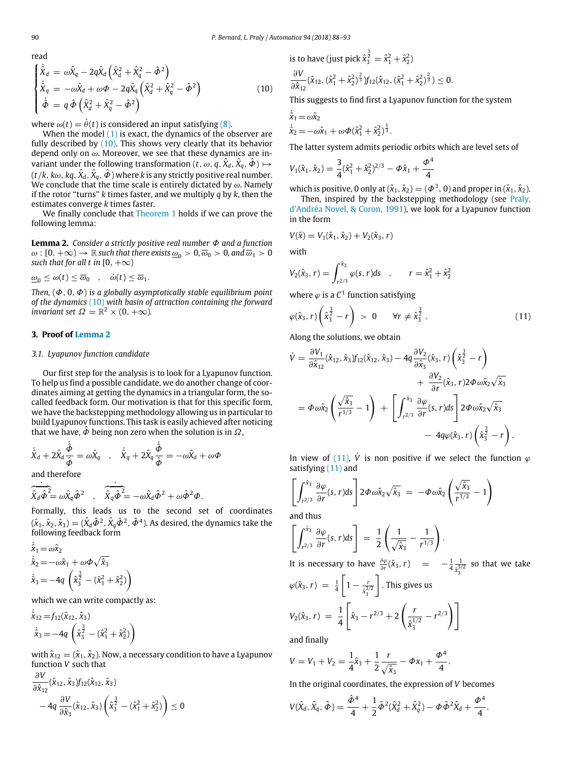$(10)$ 

<span id="page-2-0"></span>read  
\n
$$
\begin{cases}\n\dot{\hat{X}}_d = \omega \hat{X}_q - 2q \hat{X}_d \left( \hat{X}_d^2 + \hat{X}_q^2 - \hat{\Phi}^2 \right) \\
\dot{\hat{X}}_q = -\omega \hat{X}_d + \omega \Phi - 2q \hat{X}_q \left( \hat{X}_d^2 + \hat{X}_q^2 - \hat{\Phi}^2 \right) \\
\dot{\hat{\Phi}} = q \hat{\Phi} \left( \hat{X}_d^2 + \hat{X}_q^2 - \hat{\Phi}^2 \right)\n\end{cases}
$$

where  $\omega(t) = \dot{\theta}(t)$  is considered an input satisfying [\(8\).](#page-1-7)

When the model  $(1)$  is exact, the dynamics of the observer are fully described by  $(10)$ . This shows very clearly that its behavior depend only on  $\omega$ . Moreover, we see that these dynamics are invariant under the following transformation ( $t$  ,  $\omega$  ,  $\hat{q}$  ,  $\hat{X}_d$  ,  $\hat{X}_q$  ,  $\hat{\bm{\phi}}$  )  $\mapsto$  $(t/k, k\omega, kq, \hat{X}_d, \hat{X}_q, \hat{\varPhi}$  ) where  $k$  is any strictly positive real number. We conclude that the time scale is entirely dictated by  $\omega$ . Namely if the rotor ''turns'' *k* times faster, and we multiply *q* by *k*, then the estimates converge *k* times faster.

We finally conclude that [Theorem 1](#page-1-6) holds if we can prove the following lemma:

<span id="page-2-1"></span>**Lemma 2.** *Consider a strictly positive real number* Φ *and a function*  $\omega$ :  $[0, +\infty) \to \mathbb{R}$  *such that there exists*  $\underline{\omega}_0 > 0$ *,*  $\overline{\omega}_0 > 0$ *, and*  $\overline{\omega}_1 > 0$ *such that for all t in*  $[0, +\infty)$ 

$$
\underline{\omega}_0 \le \omega(t) \le \overline{\omega}_0 \quad , \quad \dot{\omega}(t) \le \overline{\omega}_1.
$$

*Then,* (Φ, 0, Φ) *is a globally asymptotically stable equilibrium point of the dynamics* [\(10\)](#page-2-0) *with basin of attraction containing the forward invariant set*  $\Omega = \mathbb{R}^2 \times (0, +\infty)$ .

#### **3. Proof of [Lemma 2](#page-2-1)**

#### *3.1. Lyapunov function candidate*

Our first step for the analysis is to look for a Lyapunov function. To help us find a possible candidate, we do another change of coordinates aiming at getting the dynamics in a triangular form, the socalled feedback form. Our motivation is that for this specific form, we have the backstepping methodology allowing us in particular to build Lyapunov functions. This task is easily achieved after noticing that we have,  $\hat{\phi}$  being non zero when the solution is in  $\Omega$ ,

$$
\dot{\hat{X}}_d + 2\hat{X}_d \frac{\dot{\hat{\phi}}}{\hat{\phi}} = \omega \hat{X}_q \quad , \quad \dot{\hat{X}}_q + 2\hat{X}_q \frac{\dot{\hat{\phi}}}{\hat{\phi}} = -\omega \hat{X}_d + \omega \Phi
$$

and therefore

$$
\overline{\hat{X}_d \hat{\phi}^2} = \omega \hat{X}_q \hat{\phi}^2 \quad , \quad \overline{\hat{X}_q \hat{\phi}^2} = -\omega \hat{X}_d \hat{\phi}^2 + \omega \hat{\phi}^2 \Phi.
$$

Formally, this leads us to the second set of coordinates  $(\hat{x}_1,\hat{x}_2,\hat{x}_3)=(\hat{X}_d\hat{\mathcal{\Phi}}^2,\hat{X}_q\hat{\mathcal{\Phi}}^2,\hat{\mathcal{\Phi}}^4)$ . As desired, the dynamics take the following feedback form

$$
\dot{\hat{x}}_1 = \omega \hat{x}_2
$$
\n
$$
\dot{\hat{x}}_2 = -\omega \hat{x}_1 + \omega \Phi \sqrt{\hat{x}_3}
$$
\n
$$
\dot{\hat{x}}_3 = -4q \left( \hat{x}_3^{\frac{3}{2}} - (\hat{x}_1^2 + \hat{x}_2^2) \right)
$$

which we can write compactly as:

$$
\dot{\hat{x}}_{12} = f_{12}(\hat{x}_{12}, \hat{x}_3)
$$
\n
$$
\dot{\hat{x}}_3 = -4q \left( \hat{x}_3^{\frac{3}{2}} - (\hat{x}_1^2 + \hat{x}_2^2) \right)
$$

with  $\hat{x}_{12} = (\hat{x}_1, \hat{x}_2)$ . Now, a necessary condition to have a Lyapunov function *V* such that ∂*V*

$$
\frac{\partial V}{\partial \hat{x}_{12}}(\hat{x}_{12}, \hat{x}_3)f_{12}(\hat{x}_{12}, \hat{x}_3) \n-4q \frac{\partial V}{\partial \hat{x}_3}(\hat{x}_{12}, \hat{x}_3) \left(\hat{x}_3^{\frac{3}{2}} - (\hat{x}_1^2 + \hat{x}_2^2)\right) \leq 0
$$

is to have (just pick 
$$
\hat{x}_3^{\frac{3}{2}} = \hat{x}_1^2 + \hat{x}_2^2
$$
)  
\n
$$
\frac{\partial V}{\partial \hat{x}_{12}} (\hat{x}_{12}, (\hat{x}_1^2 + \hat{x}_2^2)^{\frac{2}{3}}) f_{12}(\hat{x}_{12}, (\hat{x}_1^2 + \hat{x}_2^2)^{\frac{2}{3}}) \le 0.
$$

This suggests to find first a Lyapunov function for the system

$$
\dot{\hat{x}}_1 = \omega \hat{x}_2
$$
\n
$$
\dot{\hat{x}}_2 = -\omega \hat{x}_1 + \omega \Phi (\hat{x}_1^2 + \hat{x}_2^2)^{\frac{1}{3}}.
$$

The latter system admits periodic orbits which are level sets of

$$
V_1(\hat{x}_1, \hat{x}_2) = \frac{3}{4} (\hat{x}_1^2 + \hat{x}_2^2)^{2/3} - \Phi \hat{x}_1 + \frac{\Phi^4}{4}
$$

which is positive, 0 only at  $(\hat{x}_1, \hat{x}_2) = (\Phi^3, 0)$  and proper in  $(\hat{x}_1, \hat{x}_2)$ .

Then, inspired by the backstepping methodology (see [Praly,](#page-5-11) [d'Andréa](#page-5-11) [Novel,](#page-5-11) [&](#page-5-11) [Coron,](#page-5-11) [1991\)](#page-5-11), we look for a Lyapunov function in the form

$$
V(\hat{x}) = V_1(\hat{x}_1, \hat{x}_2) + V_2(\hat{x}_3, r)
$$

with

$$
V_2(\hat{x}_3, r) = \int_{r^{2/3}}^{\hat{x}_3} \varphi(s, r) ds \quad , \qquad r = \hat{x}_1^2 + \hat{x}_2^2
$$

where  $\varphi$  is a  $C^1$  function satisfying

<span id="page-2-2"></span>
$$
\varphi(\hat{x}_3, r)\left(\hat{x}_3^{\frac{3}{2}} - r\right) > 0 \quad \forall r \neq \hat{x}_3^{\frac{3}{2}}.
$$
\n(11)

Along the solutions, we obtain

$$
\dot{V} = \frac{\partial V_1}{\partial \hat{x}_{12}} (\hat{x}_{12}, \hat{x}_3) f_{12}(\hat{x}_{12}, \hat{x}_3) - 4q \frac{\partial V_2}{\partial \hat{x}_3} (\hat{x}_3, r) \left( \hat{x}_3^{\frac{3}{2}} - r \right) \n+ \frac{\partial V_2}{\partial r} (\hat{x}_3, r) 2 \Phi \omega \hat{x}_2 \sqrt{\hat{x}_3} \n= \Phi \omega \hat{x}_2 \left( \frac{\sqrt{\hat{x}_3}}{r^{1/3}} - 1 \right) + \left[ \int_{r^{2/3}}^{\hat{x}_3} \frac{\partial \varphi}{\partial r} (s, r) ds \right] 2 \Phi \omega \hat{x}_2 \sqrt{\hat{x}_3} \n- 4q \varphi(\hat{x}_3, r) \left( \hat{x}_3^{\frac{3}{2}} - r \right).
$$

In view of [\(11\),](#page-2-2)  $\dot{V}$  is non positive if we select the function  $\varphi$ satisfying [\(11\)](#page-2-2) and

$$
\left[\int_{r^{2/3}}^{\hat{x}_3} \frac{\partial \varphi}{\partial r}(s, r) ds\right] 2 \Phi \omega \hat{x}_2 \sqrt{\hat{x}_3} = -\Phi \omega \hat{x}_2 \left(\frac{\sqrt{\hat{x}_3}}{r^{1/3}} - 1\right)
$$

and thus

$$
\left[\int_{r^{2/3}}^{\hat{x}_3} \frac{\partial \varphi}{\partial r}(s,r) ds\right] = \frac{1}{2} \left(\frac{1}{\sqrt{\hat{x}_3}} - \frac{1}{r^{1/3}}\right).
$$

It is necessary to have  $\frac{\partial \varphi}{\partial r}(\hat{x}_3, r) = -\frac{1}{4} \frac{1}{\hat{x}_3^3}$  $\frac{1}{\hat{x}_3^{3/2}}$  so that we take  $\varphi(\hat{x}_3, r) = \frac{1}{4}$  $\left[1-\frac{1}{2}\right]$  $\frac{\hat{x}^{3/2}}{3}$ ] . This gives us  $V_2(\hat{x}_3, r) = \frac{1}{4}$  $\lceil$  $\hat{x}_3 - r^{2/3} + 2$ ( *r*  $\hat{x}_3^{1/2}$  $-r^{2/3}$ 

and finally

4

$$
V = V_1 + V_2 = \frac{1}{4}\hat{x}_3 + \frac{1}{2}\frac{r}{\sqrt{\hat{x}_3}} - \Phi x_1 + \frac{\Phi^4}{4}.
$$

In the original coordinates, the expression of *V* becomes

$$
V(\hat{X}_d, \hat{X}_q, \hat{\Phi}) = \frac{\hat{\Phi}^4}{4} + \frac{1}{2} \hat{\Phi}^2 (\hat{X}_d^2 + \hat{X}_q^2) - \Phi \hat{\Phi}^2 \hat{X}_d + \frac{\Phi^4}{4}.
$$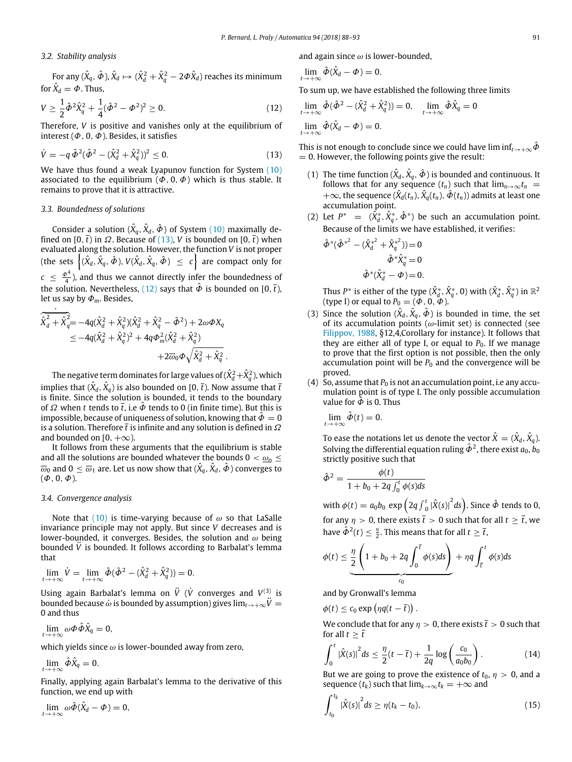#### *3.2. Stability analysis*

For any  $(\hat{X}_q,\hat{\bm{\phi}}),\hat{X}_d \mapsto (\hat{X}_d^2+\hat{X}_q^2-2\bm{\phi}\hat{X}_d)$  reaches its minimum for  $\hat{X}_d = \Phi$  . Thus,

<span id="page-3-1"></span>
$$
V \ge \frac{1}{2} \hat{\phi}^2 \hat{X}_q^2 + \frac{1}{4} (\hat{\phi}^2 - \phi^2)^2 \ge 0.
$$
 (12)

Therefore, *V* is positive and vanishes only at the equilibrium of interest ( $\Phi$ , 0,  $\Phi$ ). Besides, it satisfies

<span id="page-3-0"></span>
$$
\dot{V} = -q \,\hat{\Phi}^2 (\hat{\Phi}^2 - (\hat{X}_d^2 + \hat{X}_q^2))^2 \le 0.
$$
\n(13)

We have thus found a weak Lyapunov function for System [\(10\)](#page-2-0) associated to the equilibrium ( $\Phi$ , 0,  $\Phi$ ) which is thus stable. It remains to prove that it is attractive.

#### *3.3. Boundedness of solutions*

Consider a solution  $(\hat{X}_q,\hat{X}_d,\hat{\bm{\phi}})$  of System  $(10)$  maximally defined on [0,  $\bar{t}$ ) in  $\Omega$ . Because of [\(13\),](#page-3-0) *V* is bounded on [0,  $\bar{t}$ ) when evaluated along the solution. However, the function *V* is not proper  $\{(\hat{X}_d, \hat{X}_q, \hat{\Phi}), V(\hat{X}_d, \hat{X}_q, \hat{\Phi}) \leq c\}$  are compact only for  $c \leq \frac{\phi^4}{4}$ ), and thus we cannot directly infer the boundedness of the solution. Nevertheless, [\(12\)](#page-3-1) says that  $\hat{\phi}$  is bounded on [0,  $\bar{t}$ ), let us say by Φ*m*. Besides,

$$
\begin{split} \frac{\hat{\chi}^2_d + \hat{\chi}^2_q = -4q(\hat{\chi}^2_d + \hat{\chi}^2_q)(\hat{\chi}^2_d + \hat{\chi}^2_q - \hat{\Phi}^2) + 2\omega\Phi X_q} \\ \leq -4q(\hat{\chi}^2_d + \hat{\chi}^2_q)^2 + 4q\Phi_m^2(\hat{\chi}^2_d + \hat{\chi}^2_q) \\qquad \qquad + 2\overline{\omega}_0\Phi\sqrt{\hat{\chi}^2_d + \hat{\chi}^2_q} \ . \end{split}
$$

The negative term dominates for large values of  $(\hat{X}_d^2\!+\!\hat{X}_q^2)$ , which implies that  $(\hat{X}_d, \hat{X}_q)$  is also bounded on [0,  $\bar{t}$  ). Now assume that  $\bar{t}$ is finite. Since the solution is bounded, it tends to the boundary of  $\Omega$  when *t* tends to  $\overline{t}$ , i.e  $\overline{\Phi}$  tends to 0 (in finite time). But this is impossible, because of uniqueness of solution, knowing that  $\ddot{\Phi} = 0$ is a solution. Therefore  $\bar{t}$  is infinite and any solution is defined in  $\Omega$ and bounded on  $[0, +\infty)$ .

It follows from these arguments that the equilibrium is stable and all the solutions are bounded whatever the bounds  $0 < \omega_0 \leq$  $\overline{\omega}_0$  and  $0 \le \overline{\omega}_1$  are. Let us now show that  $(\hat{X}_q, \hat{X}_d, \hat{\bm{\phi}})$  converges to  $(\Phi, 0, \Phi)$ .

#### *3.4. Convergence analysis*

Note that [\(10\)](#page-2-0) is time-varying because of  $\omega$  so that LaSalle invariance principle may not apply. But since *V* decreases and is lower-bounded, it converges. Besides, the solution and  $\omega$  being bounded  $\hat{V}$  is bounded. It follows according to Barbalat's lemma that

$$
\lim_{t \to +\infty} \dot{V} = \lim_{t \to +\infty} \hat{\Phi}(\hat{\Phi}^2 - (\hat{X}_d^2 + \hat{X}_q^2)) = 0.
$$

Using again Barbalat's lemma on  $\ddot{V}$  ( $\dot{V}$  converges and  $V^{(3)}$  is bounded because  $\dot{\omega}$  is bounded by assumption) gives  $\lim_{t\to+\infty}\ddot{V}=$ 0 and thus

$$
\lim_{t\to+\infty}\omega\Phi\hat{\Phi}\hat{X}_q=0,
$$

which yields since  $\omega$  is lower-bounded away from zero,

 $\lim_{t\to+\infty}\hat{\Phi}\hat{X}_q=0.$ 

Finally, applying again Barbalat's lemma to the derivative of this function, we end up with

$$
\lim_{t\to+\infty}\omega\hat{\Phi}(\hat{X}_d-\Phi)=0,
$$

and again since  $\omega$  is lower-bounded.

$$
\lim_{t\to+\infty}\hat{\Phi}(\hat{X}_d-\Phi)=0.
$$

To sum up, we have established the following three limits

$$
\lim_{t \to +\infty} \hat{\phi}(\hat{\phi}^2 - (\hat{X}_d^2 + \hat{X}_q^2)) = 0, \quad \lim_{t \to +\infty} \hat{\phi}\hat{X}_q = 0
$$
  

$$
\lim_{t \to +\infty} \hat{\phi}(\hat{X}_d - \phi) = 0.
$$

This is not enough to conclude since we could have lim inf<sub> $t\rightarrow+\infty$ </sub> $\hat{\phi}$  $= 0$ . However, the following points give the result:

- (1) The time function  $(\hat{X}_d, \hat{X}_q, \hat{\Phi})$  is bounded and continuous. It follows that for any sequence  $(t_n)$  such that  $\lim_{n\to\infty} t_n$  $+\infty$ , the sequence  $(\hat{X}_d(t_n), \hat{X}_q(t_n), \hat{\boldsymbol{\phi}}(t_n))$  admits at least one accumulation point.
- (2) Let  $P^* = (\hat{X}_d^*, \hat{X}_q^*, \hat{\Phi}^*)$  be such an accumulation point. Because of the limits we have established, it verifies:

$$
\hat{\phi}^*(\hat{\phi}^{*2} - (\hat{X}_d^{*2} + \hat{X}_q^{*2})) = 0
$$
  

$$
\hat{\phi}^*\hat{X}_q^* = 0
$$
  

$$
\hat{\phi}^*(\hat{X}_d^* - \phi) = 0.
$$

Thus  $P^*$  is either of the type  $(\hat{X}^*_d, \hat{X}^*_q, 0)$  with  $(\hat{X}^*_d, \hat{X}^*_q)$  in  $\mathbb{R}^2$ (type I) or equal to  $P_0 = (\Phi, 0, \tilde{\Phi})$ .

- (3) Since the solution  $(\hat{X}_d, \hat{X}_q, \hat{\Phi})$  is bounded in time, the set of its accumulation points ( $\omega$ -limit set) is connected (see [Filippov,](#page-5-12) [1988,](#page-5-12) §12,4,Corollary for instance). It follows that they are either all of type I, or equal to  $P_0$ . If we manage to prove that the first option is not possible, then the only accumulation point will be  $P_0$  and the convergence will be proved.
- (4) So, assume that  $P_0$  is not an accumulation point, i.e any accumulation point is of type I. The only possible accumulation value for  $\hat{\phi}$  is 0. Thus

$$
\lim_{t\to+\infty}\hat{\Phi}(t)=0.
$$

To ease the notations let us denote the vector  $\hat{X} = (\hat{X}_d, \hat{X}_q)$ . Solving the differential equation ruling  $\hat{\Phi}^2$ , there exist  $a_0$ ,  $b_0$ strictly positive such that

$$
\hat{\Phi}^2 = \frac{\phi(t)}{1 + b_0 + 2q \int_0^t \phi(s) ds}
$$

with  $\phi(t) = a_0 b_0 \exp \left( 2q \int_0^t \left| \hat{X}(s) \right|^2 ds \right)$ . Since  $\hat{\phi}$  tends to 0, for any  $\eta > 0$ , there exists  $\bar{t} > 0$  such that for all  $t \geq \bar{t}$ , we have  $\hat{\Phi}^2(t) \leq \frac{\eta}{2}$ . This means that for all  $t \geq \overline{t}$ ,

$$
\phi(t) \leq \underbrace{\frac{\eta}{2}\left(1+b_0+2q\int_0^{\overline{t}}\phi(s)ds\right)}_{c_0} + \eta q \int_{\overline{t}}^t \phi(s)ds
$$

and by Gronwall's lemma

$$
\phi(t) \leq c_0 \exp \left(\eta q(t-\overline{t})\right).
$$

We conclude that for any  $\eta > 0$ , there exists  $\bar{t} > 0$  such that for all  $t > \overline{t}$ 

<span id="page-3-2"></span>
$$
\int_0^t |\hat{X}(s)|^2 ds \le \frac{\eta}{2}(t - \bar{t}) + \frac{1}{2q} \log \left( \frac{c_0}{a_0 b_0} \right).
$$
 (14)

But we are going to prove the existence of  $t_0$ ,  $\eta > 0$ , and a sequence  $(t_k)$  such that  $\lim_{k\to\infty} t_k = +\infty$  and

<span id="page-3-3"></span>
$$
\int_{t_0}^{t_k} |\hat{X}(s)|^2 ds \ge \eta(t_k - t_0), \tag{15}
$$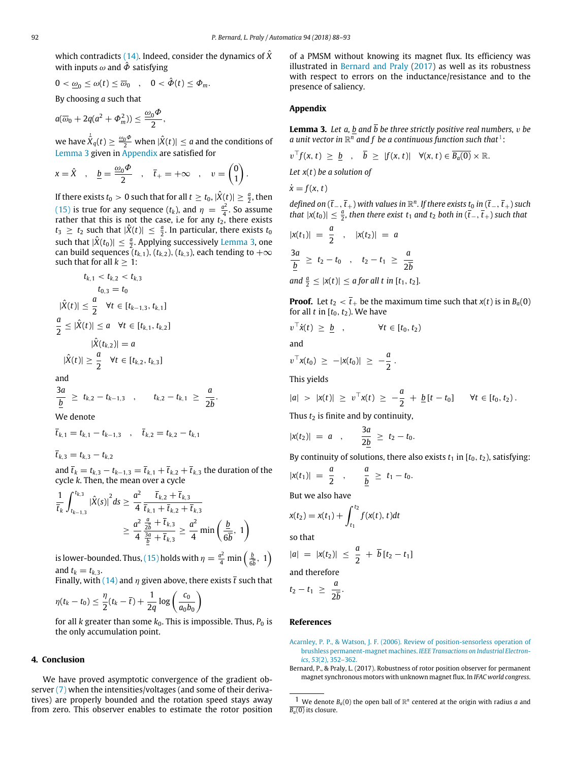which contradicts [\(14\).](#page-3-2) Indeed, consider the dynamics of  $\hat{X}$ with inputs  $\omega$  and  $\hat{\Phi}$  satisfying

$$
0<\underline{\omega}_0\leq \omega(t)\leq \overline{\omega}_0 ,\quad 0<\hat{\varPhi}(t)\leq \varPhi_m.
$$

By choosing *a* such that

$$
a(\overline{\omega}_0+2q(a^2+\varPhi_m^2))\leq \frac{\omega_0\varPhi}{2}
$$

we have  $\dot{\hat{X}}_q(t) \geq \frac{\omega_0 \varPhi}{2}$  when  $|\hat{X}(t)| \leq a$  and the conditions of [Lemma 3](#page-4-2) given in [Appendix](#page-4-3) are satisfied for

,

$$
x = \hat{X}
$$
,  $\underline{b} = \frac{\omega_0 \Phi}{2}$ ,  $\overline{t}_+ = +\infty$ ,  $v = \begin{pmatrix} 0 \\ 1 \end{pmatrix}$ .

If there exists  $t_0 > 0$  such that for all  $t \ge t_0$ ,  $|\hat{X}(t)| \ge \frac{a}{2}$ , then [\(15\)](#page-3-3) is true for any sequence  $(t_k)$ , and  $\eta = \frac{a^2}{4}$  $\frac{1}{4}$ . So assume rather that this is not the case, i.e for any *t*<sub>2</sub>, there exists  $t_3 \geq t_2$  such that  $|\hat{X}(t)| \leq \frac{a}{2}$ . In particular, there exists  $t_0$ such that  $|\hat{X}(t_0)| \leq \frac{a}{2}$ . Applying successively [Lemma 3,](#page-4-2) one can build sequences  $(t_{k,1})$ ,  $(t_{k,2})$ ,  $(t_{k,3})$ , each tending to  $+\infty$ such that for all  $k > 1$ :

$$
t_{k,1} < t_{k,2} < t_{k,3}
$$
\n
$$
t_{0,3} = t_0
$$
\n
$$
|\hat{X}(t)| \leq \frac{a}{2} \quad \forall t \in [t_{k-1,3}, t_{k,1}]
$$
\n
$$
\frac{a}{2} \leq |\hat{X}(t)| \leq a \quad \forall t \in [t_{k,1}, t_{k,2}]
$$
\n
$$
|\hat{X}(t_{k,2})| = a
$$

$$
|\hat{X}(t)| \geq \frac{a}{2} \quad \forall t \in [t_{k,2}, t_{k,3}]
$$

and

$$
\frac{3a}{\underline{b}} \geq t_{k,2} - t_{k-1,3} \quad , \qquad t_{k,2} - t_{k,1} \geq \frac{a}{2\overline{b}}.
$$

We denote

$$
\bar{t}_{k,1} = t_{k,1} - t_{k-1,3} \quad , \quad \bar{t}_{k,2} = t_{k,2} - t_{k,1}
$$

 $\bar{t}_{k,3} = t_{k,3} - t_{k,2}$ 

and  $\bar{t}_k = t_{k,3} - t_{k-1,3} = \bar{t}_{k,1} + \bar{t}_{k,2} + \bar{t}_{k,3}$  the duration of the cycle *k*. Then, the mean over a cycle

$$
\frac{1}{\bar{t}_{k}} \int_{t_{k-1,3}}^{t_{k,3}} |\hat{X}(s)|^{2} ds \geq \frac{a^{2}}{4} \frac{\bar{t}_{k,2} + \bar{t}_{k,3}}{\bar{t}_{k,1} + \bar{t}_{k,2} + \bar{t}_{k,3}}\n\geq \frac{a^{2}}{4} \frac{\frac{a}{2b} + \bar{t}_{k,3}}{\frac{3a}{\underline{b}} + \bar{t}_{k,3}} \geq \frac{a^{2}}{4} \min\left(\frac{\underline{b}}{6\overline{b}}, 1\right)
$$

is lower-bounded. Thus, [\(15\)](#page-3-3) holds with  $\eta = \frac{a^2}{4} \min \left( \frac{b}{6l} \right)$  $\frac{b}{6\overline{b}}$ , 1) and  $t_k = t_{k,3}$ .

Finally, with [\(14\)](#page-3-2) and  $\eta$  given above, there exists  $\bar{t}$  such that

$$
\eta(t_k-t_0)\leq \frac{\eta}{2}(t_k-\bar{t})+\frac{1}{2q}\log\left(\frac{c_0}{a_0b_0}\right)
$$

for all *k* greater than some  $k_0$ . This is impossible. Thus,  $P_0$  is the only accumulation point.

#### **4. Conclusion**

We have proved asymptotic convergence of the gradient observer [\(7\)](#page-1-4) when the intensities/voltages (and some of their derivatives) are properly bounded and the rotation speed stays away from zero. This observer enables to estimate the rotor position of a PMSM without knowing its magnet flux. Its efficiency was illustrated in [Bernard](#page-4-1) [and](#page-4-1) [Praly](#page-4-1) [\(2017\)](#page-4-1) as well as its robustness with respect to errors on the inductance/resistance and to the presence of saliency.

#### <span id="page-4-3"></span>**Appendix**

<span id="page-4-2"></span>**Lemma 3.** Let a, b and  $\overline{b}$  be three strictly positive real numbers, v be a unit vector in  $\mathbb{R}^n$  and f be a continuous function such that<sup>[1](#page-4-4)</sup>:

$$
v^{\top}f(x, t) \geq \underline{b}
$$
,  $\overline{b} \geq |f(x, t)| \quad \forall (x, t) \in \overline{B_a(0)} \times \mathbb{R}$ .

*Let x*(*t*) *be a solution of x*˙ = *f* (*x*, *t*)

$$
\dot{x}=f(x,t)
$$

*defined on* ( $\bar{t}_-$ ,  $\bar{t}_+$ ) *with values in*  $\mathbb{R}^n$ *. If there exists t*<sub>0</sub> *in* ( $\bar{t}_-$ ,  $\bar{t}_+$ ) *such that*  $|x(t_0)|$  ≤  $\frac{a}{2}$ , *then there exist*  $t_1$  *and*  $t_2$  *both in* ( $\overline{t}_-$ ,  $\overline{t}_+$ ) *such that* 

$$
|x(t_1)| = \frac{a}{2} , |x(t_2)| = a
$$
  

$$
\frac{3a}{\underline{b}} \ge t_2 - t_0 , t_2 - t_1 \ge \frac{a}{2\overline{b}}
$$

*and*  $\frac{a}{2} \leq |x(t)| \leq a$  for all t in  $[t_1, t_2]$ *.* 

**Proof.** Let  $t_2 < \overline{t}_+$  be the maximum time such that  $x(t)$  is in  $B_a(0)$ for all  $t$  in  $[t_0, t_2)$ . We have

$$
v^{\top} \dot{x}(t) \geq \underline{b} \quad , \qquad \forall t \in [t_0, t_2)
$$

and

$$
v^{\top}x(t_0) \geq -|x(t_0)| \geq -\frac{a}{2}.
$$

This yields

$$
|a| > |x(t)| \geq v^\top x(t) \geq -\frac{a}{2} + \underline{b} [t-t_0] \quad \forall t \in [t_0, t_2).
$$

Thus  $t_2$  is finite and by continuity, 3*a*

$$
|x(t_2)| = a
$$
,  $\frac{5a}{2b} \ge t_2 - t_0$ .

By continuity of solutions, there also exists  $t_1$  in  $[t_0, t_2)$ , satisfying:

$$
|x(t_1)| = \frac{a}{2}
$$
,  $\frac{a}{\underline{b}} \ge t_1 - t_0$ .

But we also have

$$
x(t_2) = x(t_1) + \int_{t_1}^{t_2} f(x(t), t) dt
$$

so that

$$
|a| = |x(t_2)| \leq \frac{a}{2} + \overline{b} [t_2 - t_1]
$$

and therefore

$$
t_2-t_1\ \geq\ \frac{a}{2\overline{b}}.
$$

#### **References**

- <span id="page-4-0"></span>[A](http://refhub.elsevier.com/S0005-1098(18)30194-8/sb1)carnley, P. P., & Watson, J. F. [\(2006\).](http://refhub.elsevier.com/S0005-1098(18)30194-8/sb1) [Review of position-sensorless operation of](http://refhub.elsevier.com/S0005-1098(18)30194-8/sb1) [brushless permanent-magnet machines.](http://refhub.elsevier.com/S0005-1098(18)30194-8/sb1) *[IEEE Transactions on Industrial Electron](http://refhub.elsevier.com/S0005-1098(18)30194-8/sb1)[ics](http://refhub.elsevier.com/S0005-1098(18)30194-8/sb1)*, *53*[\(2\),](http://refhub.elsevier.com/S0005-1098(18)30194-8/sb1) [352–362.](http://refhub.elsevier.com/S0005-1098(18)30194-8/sb1)
- <span id="page-4-1"></span>Bernard, P., & Praly, L. (2017). Robustness of rotor position observer for permanent magnet synchronous motors with unknown magnet flux. In *IFAC world congress*.

<span id="page-4-4"></span><sup>&</sup>lt;sup>1</sup> We denote  $B_a(0)$  the open ball of  $\mathbb{R}^n$  centered at the origin with radius *a* and  $\overline{B_a(0)}$  its closure.